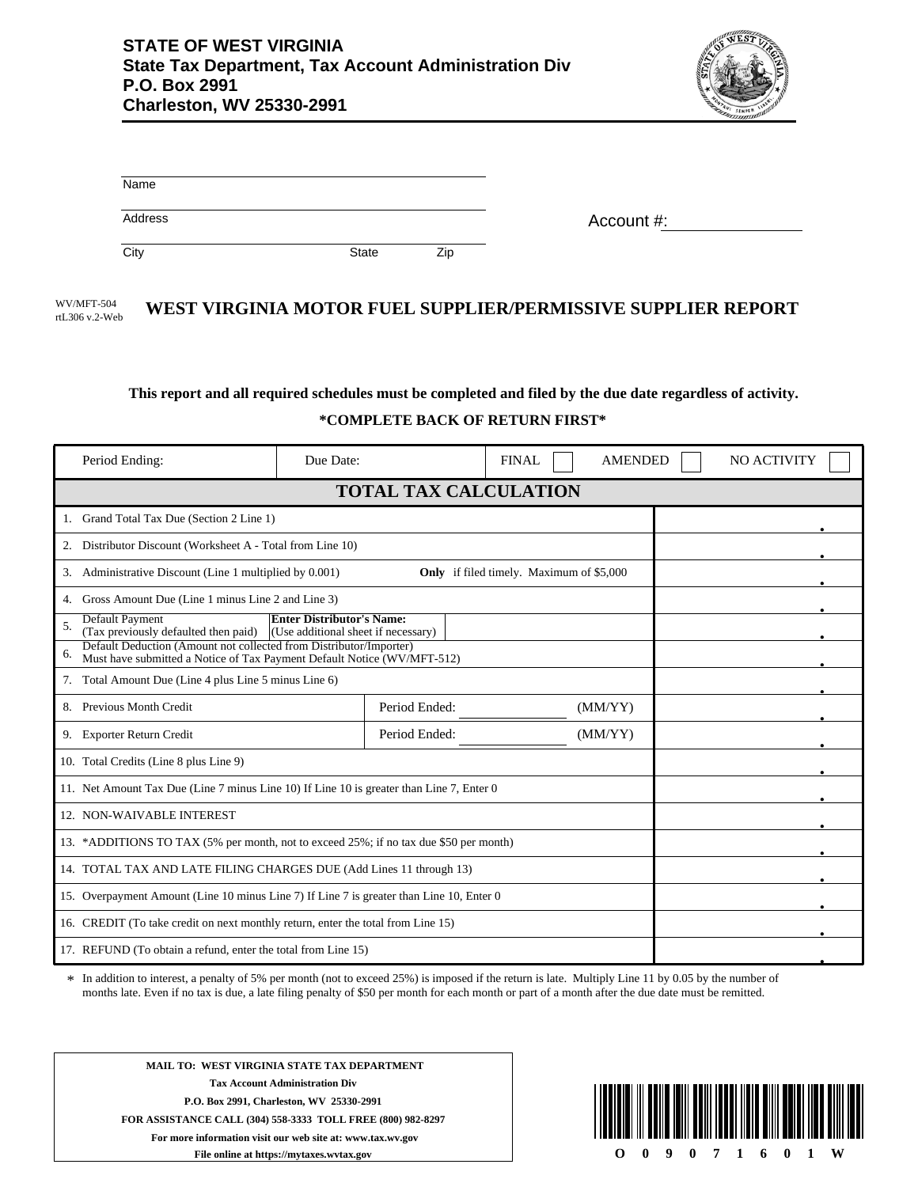

| Name    |              |     |            |
|---------|--------------|-----|------------|
| Address |              |     | Account #: |
| City    | <b>State</b> | Zip |            |

WV/MFT-504 **WEST VIRGINIA MOTOR FUEL SUPPLIER/PERMISSIVE SUPPLIER REPORT** rtL306 v.2-Web

## **This report and all required schedules must be completed and filed by the due date regardless of activity. \*COMPLETE BACK OF RETURN FIRST\***

| Period Ending:                                                                                                                                      | Due Date:                                       | <b>FINAL</b> | <b>AMENDED</b> | NO ACTIVITY |  |  |
|-----------------------------------------------------------------------------------------------------------------------------------------------------|-------------------------------------------------|--------------|----------------|-------------|--|--|
| <b>TOTAL TAX CALCULATION</b>                                                                                                                        |                                                 |              |                |             |  |  |
| 1. Grand Total Tax Due (Section 2 Line 1)                                                                                                           |                                                 |              |                |             |  |  |
| Distributor Discount (Worksheet A - Total from Line 10)<br>2.                                                                                       |                                                 |              |                |             |  |  |
| Administrative Discount (Line 1 multiplied by 0.001)<br>3.                                                                                          | <b>Only</b> if filed timely. Maximum of \$5,000 |              |                |             |  |  |
| 4. Gross Amount Due (Line 1 minus Line 2 and Line 3)                                                                                                |                                                 |              |                |             |  |  |
| <b>Default Payment</b><br><b>Enter Distributor's Name:</b><br>5.<br>(Tax previously defaulted then paid)<br>(Use additional sheet if necessary)     |                                                 |              |                |             |  |  |
| Default Deduction (Amount not collected from Distributor/Importer)<br>6.<br>Must have submitted a Notice of Tax Payment Default Notice (WV/MFT-512) |                                                 |              |                |             |  |  |
| 7. Total Amount Due (Line 4 plus Line 5 minus Line 6)                                                                                               |                                                 |              |                |             |  |  |
| 8. Previous Month Credit                                                                                                                            | Period Ended:                                   |              | (MM/YY)        |             |  |  |
| 9. Exporter Return Credit                                                                                                                           | Period Ended:                                   |              | (MM/YY)        |             |  |  |
| 10. Total Credits (Line 8 plus Line 9)                                                                                                              |                                                 |              |                |             |  |  |
| 11. Net Amount Tax Due (Line 7 minus Line 10) If Line 10 is greater than Line 7, Enter 0                                                            |                                                 |              |                |             |  |  |
| 12. NON-WAIVABLE INTEREST                                                                                                                           |                                                 |              |                |             |  |  |
| 13. *ADDITIONS TO TAX (5% per month, not to exceed 25%; if no tax due \$50 per month)                                                               |                                                 |              |                |             |  |  |
| 14. TOTAL TAX AND LATE FILING CHARGES DUE (Add Lines 11 through 13)                                                                                 |                                                 |              |                |             |  |  |
| 15. Overpayment Amount (Line 10 minus Line 7) If Line 7 is greater than Line 10, Enter 0                                                            |                                                 |              |                |             |  |  |
| 16. CREDIT (To take credit on next monthly return, enter the total from Line 15)                                                                    |                                                 |              |                |             |  |  |
| 17. REFUND (To obtain a refund, enter the total from Line 15)                                                                                       |                                                 |              |                |             |  |  |

In addition to interest, a penalty of 5% per month (not to exceed 25%) is imposed if the return is late. Multiply Line 11 by 0.05 by the number of months late. Even if no tax is due, a late filing penalty of \$50 per month for each month or part of a month after the due date must be remitted.